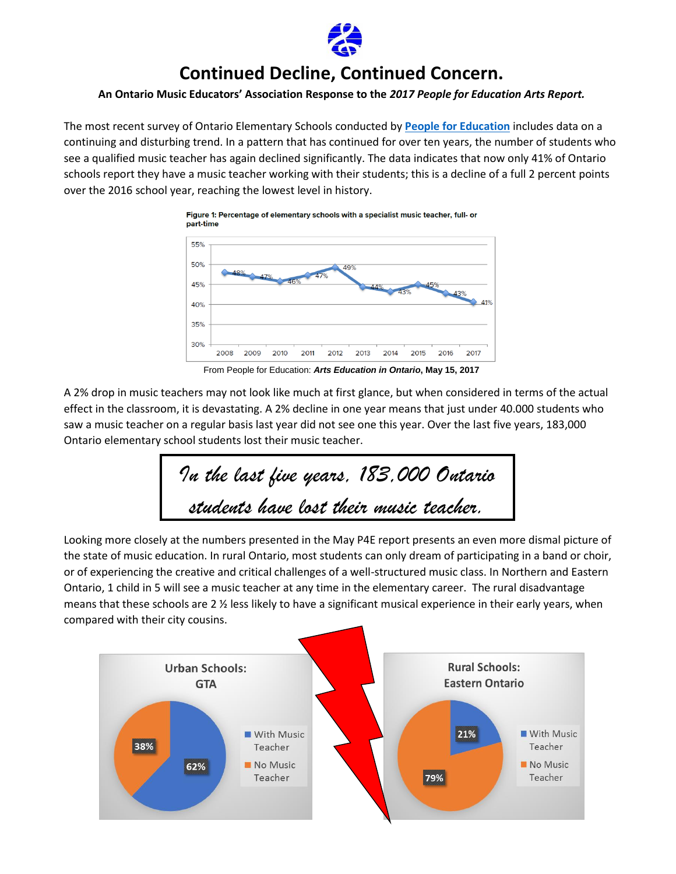

## **Continued Decline, Continued Concern.**

## **An Ontario Music Educators' Association Response to the** *2017 People for Education Arts Report.*

The most recent survey of Ontario Elementary Schools conducted by **[People for Education](http://www.peopleforeducation.ca/)** includes data on a continuing and disturbing trend. In a pattern that has continued for over ten years, the number of students who see a qualified music teacher has again declined significantly. The data indicates that now only 41% of Ontario schools report they have a music teacher working with their students; this is a decline of a full 2 percent points over the 2016 school year, reaching the lowest level in history.



From People for Education: *Arts Education in Ontario***, May 15, 2017**

A 2% drop in music teachers may not look like much at first glance, but when considered in terms of the actual effect in the classroom, it is devastating. A 2% decline in one year means that just under 40.000 students who saw a music teacher on a regular basis last year did not see one this year. Over the last five years, 183,000 Ontario elementary school students lost their music teacher.

*In the last five years, 183,000 Ontario students have lost their music teacher.*

Looking more closely at the numbers presented in the May P4E report presents an even more dismal picture of the state of music education. In rural Ontario, most students can only dream of participating in a band or choir, or of experiencing the creative and critical challenges of a well-structured music class. In Northern and Eastern Ontario, 1 child in 5 will see a music teacher at any time in the elementary career. The rural disadvantage means that these schools are 2 ½ less likely to have a significant musical experience in their early years, when compared with their city cousins.